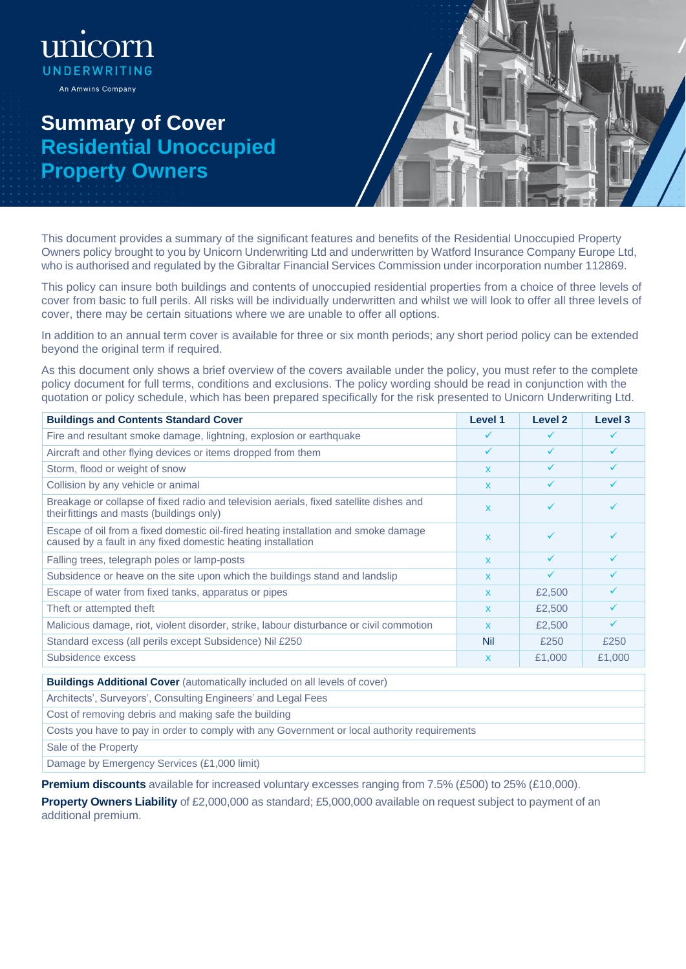## **Summary of Cover Residential Unoccupied Property Owners**

ි(

UNDERWRITING An Amwins Company



This document provides a summary of the significant features and benefits of the Residential Unoccupied Property Owners policy brought to you by Unicorn Underwriting Ltd and underwritten by Watford Insurance Company Europe Ltd, who is authorised and regulated by the Gibraltar Financial Services Commission under incorporation number 112869.

This policy can insure both buildings and contents of unoccupied residential properties from a choice of three levels of cover from basic to full perils. All risks will be individually underwritten and whilst we will look to offer all three levels of cover, there may be certain situations where we are unable to offer all options.

In addition to an annual term cover is available for three or six month periods; any short period policy can be extended beyond the original term if required.

As this document only shows a brief overview of the covers available under the policy, you must refer to the complete policy document for full terms, conditions and exclusions. The policy wording should be read in conjunction with the quotation or policy schedule, which has been prepared specifically for the risk presented to Unicorn Underwriting Ltd.

| <b>Buildings and Contents Standard Cover</b>                                                                                                        | Level 1      | Level 2      | Level 3      |
|-----------------------------------------------------------------------------------------------------------------------------------------------------|--------------|--------------|--------------|
| Fire and resultant smoke damage, lightning, explosion or earthquake                                                                                 | ✓            | ✓            |              |
| Aircraft and other flying devices or items dropped from them                                                                                        | ✓            |              |              |
| Storm, flood or weight of snow                                                                                                                      | $\mathbf{x}$ | ✓            | $\checkmark$ |
| Collision by any vehicle or animal                                                                                                                  | X            |              |              |
| Breakage or collapse of fixed radio and television aerials, fixed satellite dishes and<br>theirfittings and masts (buildings only)                  | $\mathbf{x}$ | ✓            |              |
| Escape of oil from a fixed domestic oil-fired heating installation and smoke damage<br>caused by a fault in any fixed domestic heating installation | $\mathbf{x}$ | ✓            |              |
| Falling trees, telegraph poles or lamp-posts                                                                                                        | $\mathbf{x}$ | ✓            | $\checkmark$ |
| Subsidence or heave on the site upon which the buildings stand and landslip                                                                         | $\mathsf{x}$ | $\checkmark$ |              |
| Escape of water from fixed tanks, apparatus or pipes                                                                                                | $\mathbf{x}$ | £2,500       | $\checkmark$ |
| Theft or attempted theft                                                                                                                            | $\mathbf{x}$ | £2,500       |              |
| Malicious damage, riot, violent disorder, strike, labour disturbance or civil commotion                                                             | $\mathbf{x}$ | £2,500       | $\checkmark$ |
| Standard excess (all perils except Subsidence) Nil £250                                                                                             | Nil          | £250         | £250         |
| Subsidence excess                                                                                                                                   | $\mathsf{x}$ | £1,000       | £1,000       |

**Buildings Additional Cover** (automatically included on all levels of cover)

Architects', Surveyors', Consulting Engineers' and Legal Fees

Cost of removing debris and making safe the building

Costs you have to pay in order to comply with any Government or local authority requirements

Sale of the Property

Damage by Emergency Services (£1,000 limit)

**Premium discounts** available for increased voluntary excesses ranging from 7.5% (£500) to 25% (£10,000).

**Property Owners Liability** of £2,000,000 as standard; £5,000,000 available on request subject to payment of an additional premium.